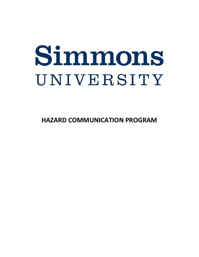# Simmons UNIVERSITY

**HAZARD COMMUNICATION PROGRAM**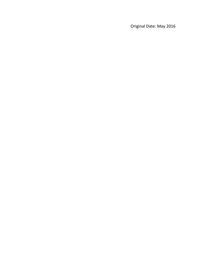Original Date: May 2016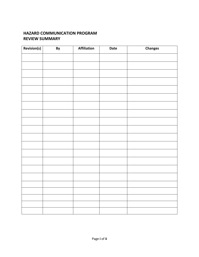#### **HAZARD COMMUNICATION PROGRAM REVIEW SUMMARY**

| Revision(s) | By | Affiliation | Date | Changes |
|-------------|----|-------------|------|---------|
|             |    |             |      |         |
|             |    |             |      |         |
|             |    |             |      |         |
|             |    |             |      |         |
|             |    |             |      |         |
|             |    |             |      |         |
|             |    |             |      |         |
|             |    |             |      |         |
|             |    |             |      |         |
|             |    |             |      |         |
|             |    |             |      |         |
|             |    |             |      |         |
|             |    |             |      |         |
|             |    |             |      |         |
|             |    |             |      |         |
|             |    |             |      |         |
|             |    |             |      |         |
|             |    |             |      |         |
|             |    |             |      |         |
|             |    |             |      |         |
|             |    |             |      |         |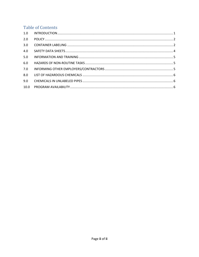## **Table of Contents**

| 1.0  |  |
|------|--|
| 2.0  |  |
| 3.0  |  |
| 4.0  |  |
| 5.0  |  |
| 6.0  |  |
| 7.0  |  |
| 8.0  |  |
| 9.0  |  |
| 10.0 |  |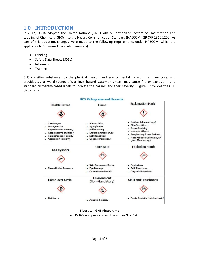## <span id="page-4-0"></span>**1.0 INTRODUCTION**

In 2012, OSHA adopted the United Nations (UN) Globally Harmonized System of Classification and Labeling of Chemicals (GHS) into the Hazard Communication Standard (HAZCOM), 29 CFR 1910.1200. As part of this adoption, changes were made to the following requirements under HAZCOM, which are applicable to Simmons University (Simmons):

- **Labeling**
- Safety Data Sheets (SDSs)
- Information
- Training

GHS classifies substances by the physical, health, and environmental hazards that they pose, and provides signal word (Danger, Warning), hazard statements (e.g., may cause fire or explosion), and standard pictogram-based labels to indicate the hazards and their severity. Figure 1 provides the GHS pictograms.



**Figure 1 – GHS Pictograms** Source: OSHA's webpage viewed December 9, 2014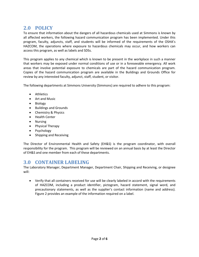## <span id="page-5-0"></span>**2.0 POLICY**

To ensure that information about the dangers of all hazardous chemicals used at Simmons is known by all affected workers, the following hazard communication program has been implemented. Under this program, faculty, adjuncts, staff, and students will be informed of the requirements of the OSHA's HAZCOM, the operations where exposure to hazardous chemicals may occur, and how workers can access this program, as well as labels and SDSs.

This program applies to any chemical which is known to be present in the workplace in such a manner that workers may be exposed under normal conditions of use or in a foreseeable emergency. All work areas that involve potential exposure to chemicals are part of the hazard communication program. Copies of the hazard communication program are available in the Buildings and Grounds Office for review by any interested faculty, adjunct, staff, student, or visitor.

The following departments at Simmons University (Simmons) are required to adhere to this program:

- Athletics
- Art and Music
- Biology
- Buildings and Grounds
- Chemistry & Physics
- Health Center
- Nursing
- Physical Therapy
- Psychology
- Shipping and Receiving

The Director of Environmental Health and Safety (EH&S) is the program coordinator, with overall responsibility for the program. This program will be reviewed on an annual basis by at least the Director of EH&S and one member from each of these departments.

## <span id="page-5-1"></span>**3.0 CONTAINER LABELING**

The Laboratory Manager, Department Manager, Department Chair, Shipping and Receiving, or designee will:

• Verify that all containers received for use will be clearly labeled in accord with the requirements of HAZCOM, including a product identifier, pictogram, hazard statement, signal word, and precautionary statements, as well as the supplier's contact information (name and address). Figure 2 provides an example of the information required on a label.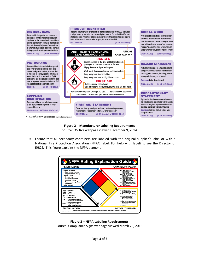

#### **Figure 2 – Manufacturer Labeling Requirements** Source: OSHA's webpage viewed December 9, 2014

• Ensure that all secondary containers are labeled with the original supplier's label or with a National Fire Protection Association (NFPA) label. For help with labeling, see the Director of EH&S. This figure explains the NFPA diamond.



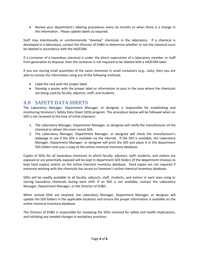• Review your department's labeling procedures every six months or when there is a change in the information. Please update labels as required.

Staff may intentionally or unintentionally "develop" chemicals in the laboratory. If a chemical is developed in a laboratory, contact the Director of EH&S to determine whether or not the chemical must be labeled in accordance with the HAZCOM.

If a container of a hazardous chemical is under the direct supervision of a laboratory member or staff from generation to disposal, then the container is not required to be labeled with a HAZCOM label.

If you are storing small quantities of the same chemicals in small containers (e.g., vials), then you are able to convey the information using any of the following methods:

- Label the rack with the proper label.
- Develop a poster with the proper label or information to post in the area where the chemicals are being used by faculty, adjuncts, staff, and students.

#### <span id="page-7-0"></span>**4.0 SAFETY DATA SHEETS**

The Laboratory Manager, Department Manager, or designee is responsible for establishing and monitoring Simmons's Safety Data Sheet (SDS) program. The procedure below will be followed when an SDS is not received at the time of initial shipment:

- 1. The Laboratory Manager, Department Manager, or designee will notify the manufacturer of the chemical to obtain the most recent SDS.
- 2. The Laboratory Manager, Department Manager, or designee will check the manufacturer's webpage to see if the SDS is available via the internet. If the SDS is available, the Laboratory Manager, Department Manager, or designee will print the SDS and place it in the department SDS folders and scan a copy to the online chemical inventory database.

Copies of SDSs for all hazardous chemicals to which faculty, adjuncts, staff, students, and visitors are exposed or are potentially exposed will be kept in department SDS folders (if the department chooses to kept hard copies) and/or on the online chemical inventory database. Hard copies are not required if everyone working with the chemicals has access to Simmons's online chemical inventory database.

SDSs will be readily available to all faculty, adjuncts, staff, students, and visitors in each area using or storing hazardous chemicals during each shift. If an SDS is not available, contact the Laboratory Manager, Department Manager, or the Director of EH&S.

When revised SDSs are received, the Laboratory Manager, Department Manager, or designee will update the SDS folders in the applicable locations and ensure the proper information is available on the online chemical inventory database.

The Director of EH&S is responsible for reviewing the SDSs received for safety and health implications, and initiating any needed changes in workplace practices.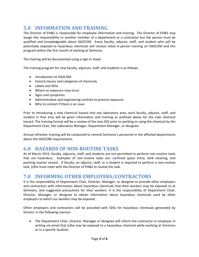## <span id="page-8-0"></span>**5.0 INFORMATION AND TRAINING**

The Director of EH&S is responsible for employee information and training. The Director of EH&S may assign this responsibility to another member of a department or a contractor but the person must be qualified and knowledgeable about HAZCOM. Every faculty, adjunct, staff, and student who will be potentially exposed to hazardous chemicals will receive initial in-person training on HAZCOM and this program within the first month of starting at Simmons.

The training will be documented using a sign-in sheet.

The training program for new faculty, adjuncts, staff, and students is as follows:

- Introduction to HAZCOM
- Hazard classes and categories of chemicals
- Labels and SDSs
- Where an exposure may occur
- Signs and symptoms
- Administrative and engineering controls to prevent exposure
- Who to contact if there is an issue

Prior to introducing a new chemical hazard into any laboratory area, each faculty, adjunct, staff, and student in that area will be given information and training as outlined above for the new chemical hazard. The training format will be a review of the new SDS prior to working or using the chemical by the Department Chair, the Laboratory Manager, Department Manager, or designee.

Annual refresher training will be conducted to remind Simmons's personnel in the affected departments about the HAZCOM requirements.

### <span id="page-8-1"></span>**6.0 HAZARDS OF NON-ROUTINE TASKS**

As of March 2015, faculty, adjuncts, staff, and students are not permitted to perform non-routine tasks that are hazardous. Examples of non-routine tasks are: confined space entry, tank cleaning, and painting reactor vessels. If faculty, an adjunct, staff, or a student is required to perform a non-routine task, (s)he must meet with the Director of EH&S to review the task.

#### <span id="page-8-2"></span>**7.0 INFORMING OTHER EMPLOYERS/CONTRACTORS**

It is the responsibility of Department Chair, Director, Manager, or designee to provide other employers and contractors with information about hazardous chemicals that their workers may be exposed to at Simmons, and suggested precautions for their workers. It is the responsibility of Department Chair, Director, Manager, or designee to obtain information about hazardous chemicals used by other employers to which our workers may be exposed.

Other employers and contractors will be provided with SDSs for hazardous chemicals generated by Simons' in the following manner:

• The Department Chair, Director, Manager or designee will inform the contractor or employer in writing via email that (s)he may be exposed to a hazardous chemical while working at Simmons or in a specific location.